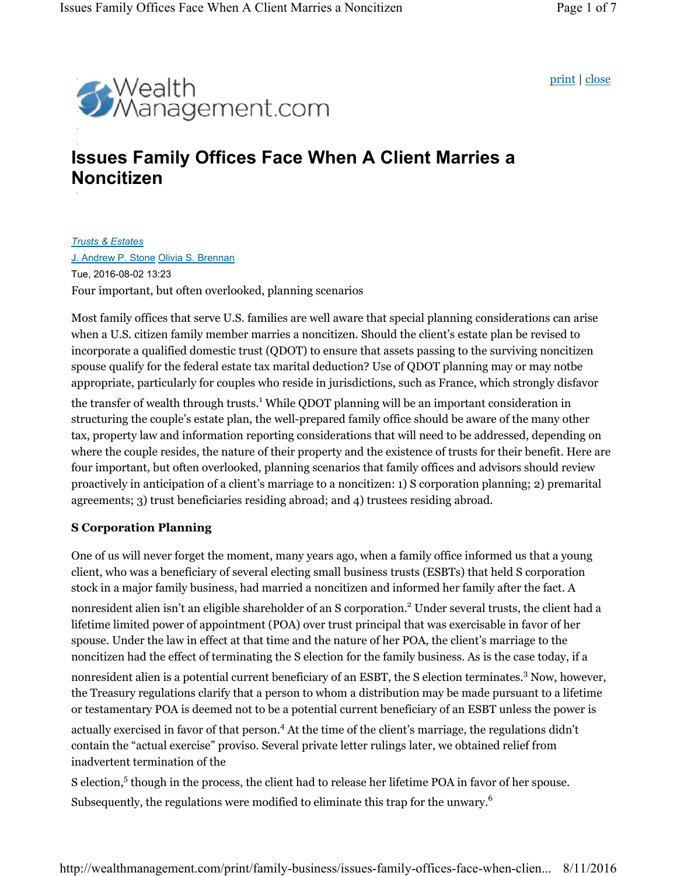print | close



### **Issues Family Offices Face When A Client Marries a Noncitizen**

*Trusts & Estates* J. Andrew P. Stone Olivia S. Brennan Tue, 2016-08-02 13:23 Four important, but often overlooked, planning scenarios

Most family offices that serve U.S. families are well aware that special planning considerations can arise when a U.S. citizen family member marries a noncitizen. Should the client's estate plan be revised to incorporate a qualified domestic trust (QDOT) to ensure that assets passing to the surviving noncitizen spouse qualify for the federal estate tax marital deduction? Use of QDOT planning may or may notbe appropriate, particularly for couples who reside in jurisdictions, such as France, which strongly disfavor

the transfer of wealth through trusts.<sup>1</sup> While QDOT planning will be an important consideration in structuring the couple's estate plan, the well-prepared family office should be aware of the many other tax, property law and information reporting considerations that will need to be addressed, depending on where the couple resides, the nature of their property and the existence of trusts for their benefit. Here are four important, but often overlooked, planning scenarios that family offices and advisors should review proactively in anticipation of a client's marriage to a noncitizen: 1) S corporation planning; 2) premarital agreements; 3) trust beneficiaries residing abroad; and 4) trustees residing abroad.

### **S Corporation Planning**

One of us will never forget the moment, many years ago, when a family office informed us that a young client, who was a beneficiary of several electing small business trusts (ESBTs) that held S corporation stock in a major family business, had married a noncitizen and informed her family after the fact. A nonresident alien isn't an eligible shareholder of an S corporation.<sup>2</sup> Under several trusts, the client had a lifetime limited power of appointment (POA) over trust principal that was exercisable in favor of her spouse. Under the law in effect at that time and the nature of her POA, the client's marriage to the noncitizen had the effect of terminating the S election for the family business. As is the case today, if a nonresident alien is a potential current beneficiary of an ESBT, the S election terminates.<sup>3</sup> Now, however, the Treasury regulations clarify that a person to whom a distribution may be made pursuant to a lifetime or testamentary POA is deemed not to be a potential current beneficiary of an ESBT unless the power is actually exercised in favor of that person.<sup>4</sup> At the time of the client's marriage, the regulations didn't contain the "actual exercise" proviso. Several private letter rulings later, we obtained relief from inadvertent termination of the

S election,<sup>5</sup> though in the process, the client had to release her lifetime POA in favor of her spouse. Subsequently, the regulations were modified to eliminate this trap for the unwary.<sup>6</sup>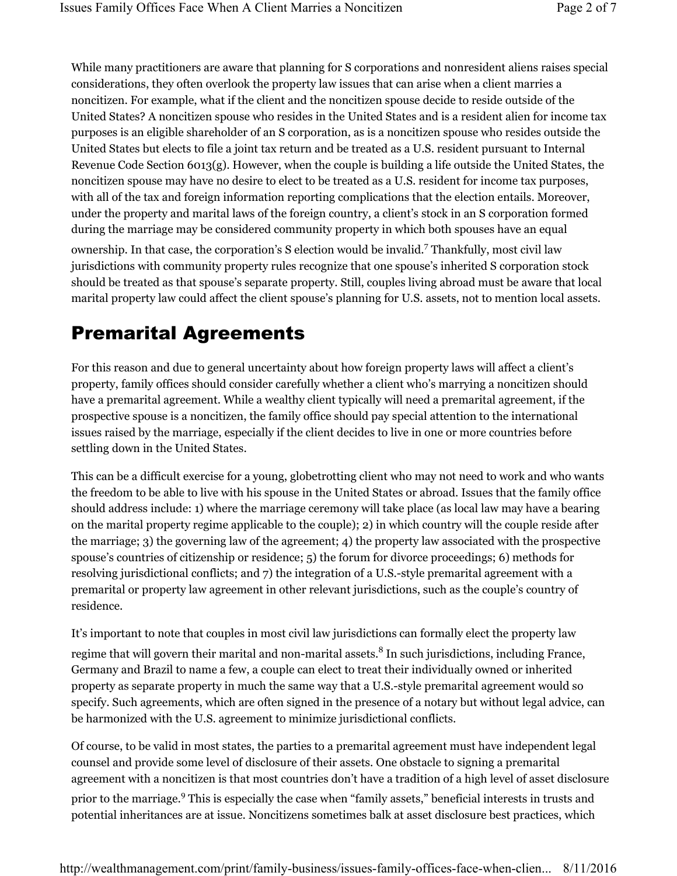While many practitioners are aware that planning for S corporations and nonresident aliens raises special considerations, they often overlook the property law issues that can arise when a client marries a noncitizen. For example, what if the client and the noncitizen spouse decide to reside outside of the United States? A noncitizen spouse who resides in the United States and is a resident alien for income tax purposes is an eligible shareholder of an S corporation, as is a noncitizen spouse who resides outside the United States but elects to file a joint tax return and be treated as a U.S. resident pursuant to Internal Revenue Code Section 6013(g). However, when the couple is building a life outside the United States, the noncitizen spouse may have no desire to elect to be treated as a U.S. resident for income tax purposes, with all of the tax and foreign information reporting complications that the election entails. Moreover, under the property and marital laws of the foreign country, a client's stock in an S corporation formed during the marriage may be considered community property in which both spouses have an equal ownership. In that case, the corporation's S election would be invalid.<sup>7</sup> Thankfully, most civil law jurisdictions with community property rules recognize that one spouse's inherited S corporation stock should be treated as that spouse's separate property. Still, couples living abroad must be aware that local

### Premarital Agreements

For this reason and due to general uncertainty about how foreign property laws will affect a client's property, family offices should consider carefully whether a client who's marrying a noncitizen should have a premarital agreement. While a wealthy client typically will need a premarital agreement, if the prospective spouse is a noncitizen, the family office should pay special attention to the international issues raised by the marriage, especially if the client decides to live in one or more countries before settling down in the United States.

marital property law could affect the client spouse's planning for U.S. assets, not to mention local assets.

This can be a difficult exercise for a young, globetrotting client who may not need to work and who wants the freedom to be able to live with his spouse in the United States or abroad. Issues that the family office should address include: 1) where the marriage ceremony will take place (as local law may have a bearing on the marital property regime applicable to the couple); 2) in which country will the couple reside after the marriage; 3) the governing law of the agreement; 4) the property law associated with the prospective spouse's countries of citizenship or residence; 5) the forum for divorce proceedings; 6) methods for resolving jurisdictional conflicts; and 7) the integration of a U.S.-style premarital agreement with a premarital or property law agreement in other relevant jurisdictions, such as the couple's country of residence.

It's important to note that couples in most civil law jurisdictions can formally elect the property law

regime that will govern their marital and non-marital assets.<sup>8</sup> In such jurisdictions, including France, Germany and Brazil to name a few, a couple can elect to treat their individually owned or inherited property as separate property in much the same way that a U.S.-style premarital agreement would so specify. Such agreements, which are often signed in the presence of a notary but without legal advice, can be harmonized with the U.S. agreement to minimize jurisdictional conflicts.

Of course, to be valid in most states, the parties to a premarital agreement must have independent legal counsel and provide some level of disclosure of their assets. One obstacle to signing a premarital agreement with a noncitizen is that most countries don't have a tradition of a high level of asset disclosure prior to the marriage.<sup>9</sup> This is especially the case when "family assets," beneficial interests in trusts and potential inheritances are at issue. Noncitizens sometimes balk at asset disclosure best practices, which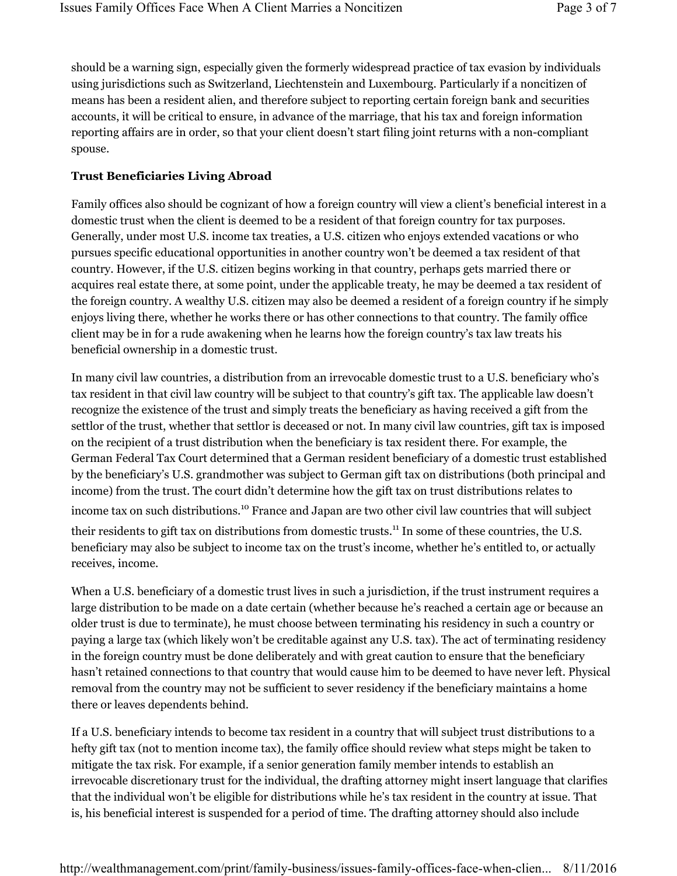should be a warning sign, especially given the formerly widespread practice of tax evasion by individuals using jurisdictions such as Switzerland, Liechtenstein and Luxembourg. Particularly if a noncitizen of means has been a resident alien, and therefore subject to reporting certain foreign bank and securities accounts, it will be critical to ensure, in advance of the marriage, that his tax and foreign information reporting affairs are in order, so that your client doesn't start filing joint returns with a non-compliant spouse.

#### **Trust Beneficiaries Living Abroad**

Family offices also should be cognizant of how a foreign country will view a client's beneficial interest in a domestic trust when the client is deemed to be a resident of that foreign country for tax purposes. Generally, under most U.S. income tax treaties, a U.S. citizen who enjoys extended vacations or who pursues specific educational opportunities in another country won't be deemed a tax resident of that country. However, if the U.S. citizen begins working in that country, perhaps gets married there or acquires real estate there, at some point, under the applicable treaty, he may be deemed a tax resident of the foreign country. A wealthy U.S. citizen may also be deemed a resident of a foreign country if he simply enjoys living there, whether he works there or has other connections to that country. The family office client may be in for a rude awakening when he learns how the foreign country's tax law treats his beneficial ownership in a domestic trust.

In many civil law countries, a distribution from an irrevocable domestic trust to a U.S. beneficiary who's tax resident in that civil law country will be subject to that country's gift tax. The applicable law doesn't recognize the existence of the trust and simply treats the beneficiary as having received a gift from the settlor of the trust, whether that settlor is deceased or not. In many civil law countries, gift tax is imposed on the recipient of a trust distribution when the beneficiary is tax resident there. For example, the German Federal Tax Court determined that a German resident beneficiary of a domestic trust established by the beneficiary's U.S. grandmother was subject to German gift tax on distributions (both principal and income) from the trust. The court didn't determine how the gift tax on trust distributions relates to

income tax on such distributions.10 France and Japan are two other civil law countries that will subject their residents to gift tax on distributions from domestic trusts.<sup>11</sup> In some of these countries, the U.S. beneficiary may also be subject to income tax on the trust's income, whether he's entitled to, or actually

receives, income.

When a U.S. beneficiary of a domestic trust lives in such a jurisdiction, if the trust instrument requires a large distribution to be made on a date certain (whether because he's reached a certain age or because an older trust is due to terminate), he must choose between terminating his residency in such a country or paying a large tax (which likely won't be creditable against any U.S. tax). The act of terminating residency in the foreign country must be done deliberately and with great caution to ensure that the beneficiary hasn't retained connections to that country that would cause him to be deemed to have never left. Physical removal from the country may not be sufficient to sever residency if the beneficiary maintains a home there or leaves dependents behind.

If a U.S. beneficiary intends to become tax resident in a country that will subject trust distributions to a hefty gift tax (not to mention income tax), the family office should review what steps might be taken to mitigate the tax risk. For example, if a senior generation family member intends to establish an irrevocable discretionary trust for the individual, the drafting attorney might insert language that clarifies that the individual won't be eligible for distributions while he's tax resident in the country at issue. That is, his beneficial interest is suspended for a period of time. The drafting attorney should also include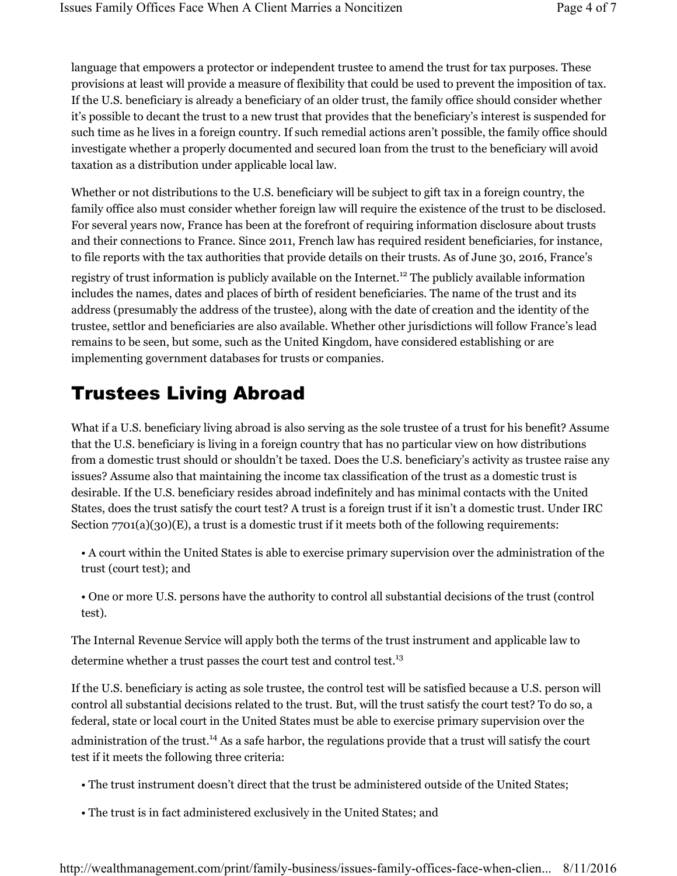language that empowers a protector or independent trustee to amend the trust for tax purposes. These provisions at least will provide a measure of flexibility that could be used to prevent the imposition of tax. If the U.S. beneficiary is already a beneficiary of an older trust, the family office should consider whether it's possible to decant the trust to a new trust that provides that the beneficiary's interest is suspended for such time as he lives in a foreign country. If such remedial actions aren't possible, the family office should investigate whether a properly documented and secured loan from the trust to the beneficiary will avoid taxation as a distribution under applicable local law.

Whether or not distributions to the U.S. beneficiary will be subject to gift tax in a foreign country, the family office also must consider whether foreign law will require the existence of the trust to be disclosed. For several years now, France has been at the forefront of requiring information disclosure about trusts and their connections to France. Since 2011, French law has required resident beneficiaries, for instance, to file reports with the tax authorities that provide details on their trusts. As of June 30, 2016, France's registry of trust information is publicly available on the Internet.<sup>12</sup> The publicly available information includes the names, dates and places of birth of resident beneficiaries. The name of the trust and its address (presumably the address of the trustee), along with the date of creation and the identity of the trustee, settlor and beneficiaries are also available. Whether other jurisdictions will follow France's lead remains to be seen, but some, such as the United Kingdom, have considered establishing or are implementing government databases for trusts or companies.

# Trustees Living Abroad

What if a U.S. beneficiary living abroad is also serving as the sole trustee of a trust for his benefit? Assume that the U.S. beneficiary is living in a foreign country that has no particular view on how distributions from a domestic trust should or shouldn't be taxed. Does the U.S. beneficiary's activity as trustee raise any issues? Assume also that maintaining the income tax classification of the trust as a domestic trust is desirable. If the U.S. beneficiary resides abroad indefinitely and has minimal contacts with the United States, does the trust satisfy the court test? A trust is a foreign trust if it isn't a domestic trust. Under IRC Section  $7701(a)(30)(E)$ , a trust is a domestic trust if it meets both of the following requirements:

- A court within the United States is able to exercise primary supervision over the administration of the trust (court test); and
- One or more U.S. persons have the authority to control all substantial decisions of the trust (control test).

The Internal Revenue Service will apply both the terms of the trust instrument and applicable law to determine whether a trust passes the court test and control test.<sup>13</sup>

If the U.S. beneficiary is acting as sole trustee, the control test will be satisfied because a U.S. person will control all substantial decisions related to the trust. But, will the trust satisfy the court test? To do so, a federal, state or local court in the United States must be able to exercise primary supervision over the administration of the trust.<sup>14</sup> As a safe harbor, the regulations provide that a trust will satisfy the court test if it meets the following three criteria:

- The trust instrument doesn't direct that the trust be administered outside of the United States;
- The trust is in fact administered exclusively in the United States; and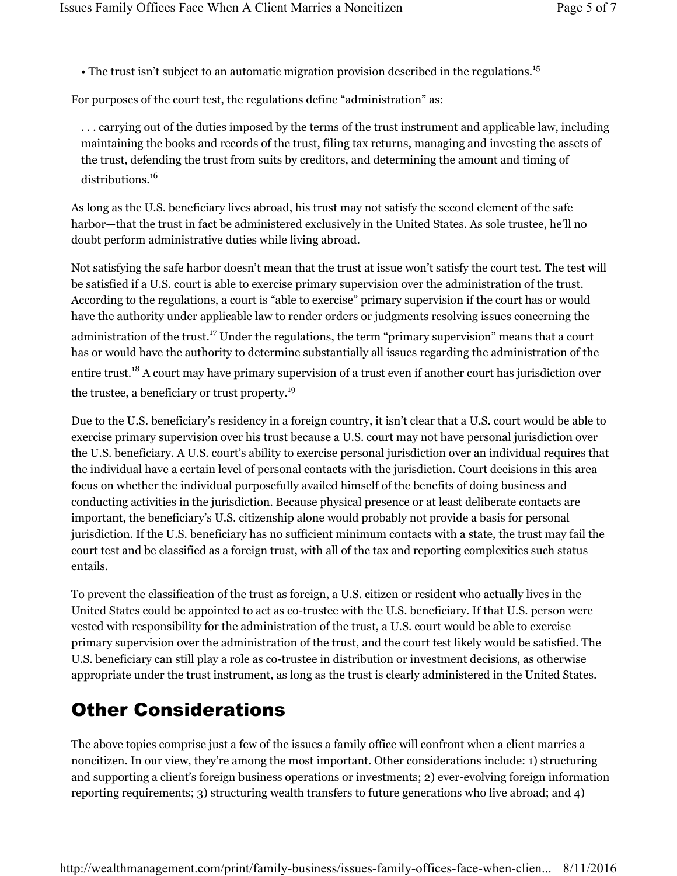• The trust isn't subject to an automatic migration provision described in the regulations.<sup>15</sup>

For purposes of the court test, the regulations define "administration" as:

. . . carrying out of the duties imposed by the terms of the trust instrument and applicable law, including maintaining the books and records of the trust, filing tax returns, managing and investing the assets of the trust, defending the trust from suits by creditors, and determining the amount and timing of distributions.<sup>16</sup>

As long as the U.S. beneficiary lives abroad, his trust may not satisfy the second element of the safe harbor—that the trust in fact be administered exclusively in the United States. As sole trustee, he'll no doubt perform administrative duties while living abroad.

Not satisfying the safe harbor doesn't mean that the trust at issue won't satisfy the court test. The test will be satisfied if a U.S. court is able to exercise primary supervision over the administration of the trust. According to the regulations, a court is "able to exercise" primary supervision if the court has or would have the authority under applicable law to render orders or judgments resolving issues concerning the administration of the trust.17 Under the regulations, the term "primary supervision" means that a court has or would have the authority to determine substantially all issues regarding the administration of the entire trust.18 A court may have primary supervision of a trust even if another court has jurisdiction over the trustee, a beneficiary or trust property.<sup>19</sup>

Due to the U.S. beneficiary's residency in a foreign country, it isn't clear that a U.S. court would be able to exercise primary supervision over his trust because a U.S. court may not have personal jurisdiction over the U.S. beneficiary. A U.S. court's ability to exercise personal jurisdiction over an individual requires that the individual have a certain level of personal contacts with the jurisdiction. Court decisions in this area focus on whether the individual purposefully availed himself of the benefits of doing business and conducting activities in the jurisdiction. Because physical presence or at least deliberate contacts are important, the beneficiary's U.S. citizenship alone would probably not provide a basis for personal jurisdiction. If the U.S. beneficiary has no sufficient minimum contacts with a state, the trust may fail the court test and be classified as a foreign trust, with all of the tax and reporting complexities such status entails.

To prevent the classification of the trust as foreign, a U.S. citizen or resident who actually lives in the United States could be appointed to act as co-trustee with the U.S. beneficiary. If that U.S. person were vested with responsibility for the administration of the trust, a U.S. court would be able to exercise primary supervision over the administration of the trust, and the court test likely would be satisfied. The U.S. beneficiary can still play a role as co-trustee in distribution or investment decisions, as otherwise appropriate under the trust instrument, as long as the trust is clearly administered in the United States.

# Other Considerations

The above topics comprise just a few of the issues a family office will confront when a client marries a noncitizen. In our view, they're among the most important. Other considerations include: 1) structuring and supporting a client's foreign business operations or investments; 2) ever-evolving foreign information reporting requirements; 3) structuring wealth transfers to future generations who live abroad; and 4)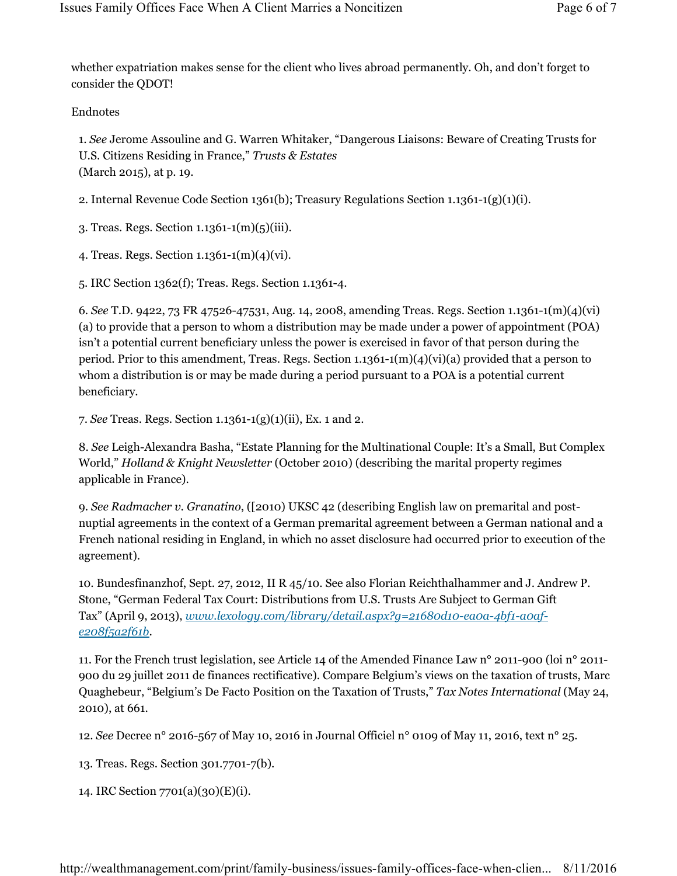whether expatriation makes sense for the client who lives abroad permanently. Oh, and don't forget to consider the QDOT!

Endnotes

1. *See* Jerome Assouline and G. Warren Whitaker, "Dangerous Liaisons: Beware of Creating Trusts for U.S. Citizens Residing in France," *Trusts & Estates* (March 2015), at p. 19.

2. Internal Revenue Code Section 1361(b); Treasury Regulations Section 1.1361-1(g)(1)(i).

3. Treas. Regs. Section 1.1361-1(m)(5)(iii).

4. Treas. Regs. Section 1.1361-1(m)(4)(vi).

5. IRC Section 1362(f); Treas. Regs. Section 1.1361-4.

6. *See* T.D. 9422, 73 FR 47526-47531, Aug. 14, 2008, amending Treas. Regs. Section 1.1361-1(m)(4)(vi) (a) to provide that a person to whom a distribution may be made under a power of appointment (POA) isn't a potential current beneficiary unless the power is exercised in favor of that person during the period. Prior to this amendment, Treas. Regs. Section 1.1361-1(m)(4)(vi)(a) provided that a person to whom a distribution is or may be made during a period pursuant to a POA is a potential current beneficiary.

7. *See* Treas. Regs. Section 1.1361-1(g)(1)(ii), Ex. 1 and 2.

8. *See* Leigh-Alexandra Basha, "Estate Planning for the Multinational Couple: It's a Small, But Complex World," *Holland & Knight Newsletter* (October 2010) (describing the marital property regimes applicable in France).

9. *See Radmacher v. Granatino*, ([2010) UKSC 42 (describing English law on premarital and postnuptial agreements in the context of a German premarital agreement between a German national and a French national residing in England, in which no asset disclosure had occurred prior to execution of the agreement).

10. Bundesfinanzhof, Sept. 27, 2012, II R 45/10. See also Florian Reichthalhammer and J. Andrew P. Stone, "German Federal Tax Court: Distributions from U.S. Trusts Are Subject to German Gift Tax" (April 9, 2013), *www.lexology.com/library/detail.aspx?g=21680d10-ea0a-4bf1-a0afe208f5a2f61b*.

11. For the French trust legislation, see Article 14 of the Amended Finance Law n° 2011-900 (loi n° 2011- 900 du 29 juillet 2011 de finances rectificative). Compare Belgium's views on the taxation of trusts, Marc Quaghebeur, "Belgium's De Facto Position on the Taxation of Trusts," *Tax Notes International* (May 24, 2010), at 661.

12. *See* Decree n° 2016-567 of May 10, 2016 in Journal Officiel n° 0109 of May 11, 2016, text n° 25.

13. Treas. Regs. Section 301.7701-7(b).

14. IRC Section 7701(a)(30)(E)(i).